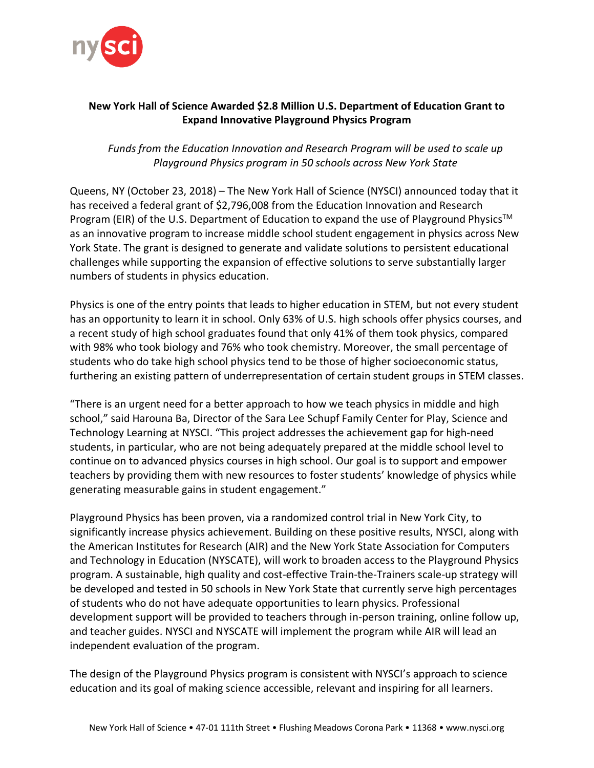

## **New York Hall of Science Awarded \$2.8 Million U.S. Department of Education Grant to Expand Innovative Playground Physics Program**

*Funds from the Education Innovation and Research Program will be used to scale up Playground Physics program in 50 schools across New York State*

Queens, NY (October 23, 2018) – The New York Hall of Science (NYSCI) announced today that it has received a federal grant of \$2,796,008 from the Education Innovation and Research Program (EIR) of the U.S. Department of Education to expand the use of Playground Physics™ as an innovative program to increase middle school student engagement in physics across New York State. The grant is designed to generate and validate solutions to persistent educational challenges while supporting the expansion of effective solutions to serve substantially larger numbers of students in physics education.

Physics is one of the entry points that leads to higher education in STEM, but not every student has an opportunity to learn it in school. Only 63% of U.S. high schools offer physics courses, and a recent study of high school graduates found that only 41% of them took physics, compared with 98% who took biology and 76% who took chemistry. Moreover, the small percentage of students who do take high school physics tend to be those of higher socioeconomic status, furthering an existing pattern of underrepresentation of certain student groups in STEM classes.

"There is an urgent need for a better approach to how we teach physics in middle and high school," said Harouna Ba, Director of the Sara Lee Schupf Family Center for Play, Science and Technology Learning at NYSCI. "This project addresses the achievement gap for high-need students, in particular, who are not being adequately prepared at the middle school level to continue on to advanced physics courses in high school. Our goal is to support and empower teachers by providing them with new resources to foster students' knowledge of physics while generating measurable gains in student engagement."

Playground Physics has been proven, via a randomized control trial in New York City, to significantly increase physics achievement. Building on these positive results, NYSCI, along with the American Institutes for Research (AIR) and the New York State Association for Computers and Technology in Education (NYSCATE), will work to broaden access to the Playground Physics program. A sustainable, high quality and cost-effective Train-the-Trainers scale-up strategy will be developed and tested in 50 schools in New York State that currently serve high percentages of students who do not have adequate opportunities to learn physics. Professional development support will be provided to teachers through in-person training, online follow up, and teacher guides. NYSCI and NYSCATE will implement the program while AIR will lead an independent evaluation of the program.

The design of the Playground Physics program is consistent with NYSCI's approach to science education and its goal of making science accessible, relevant and inspiring for all learners.